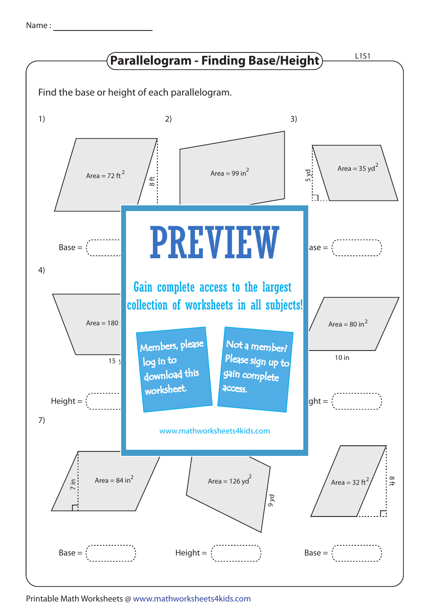| Name |  |
|------|--|
|      |  |



Printable Math Worksheets @ www.mathworksheets4kids.com